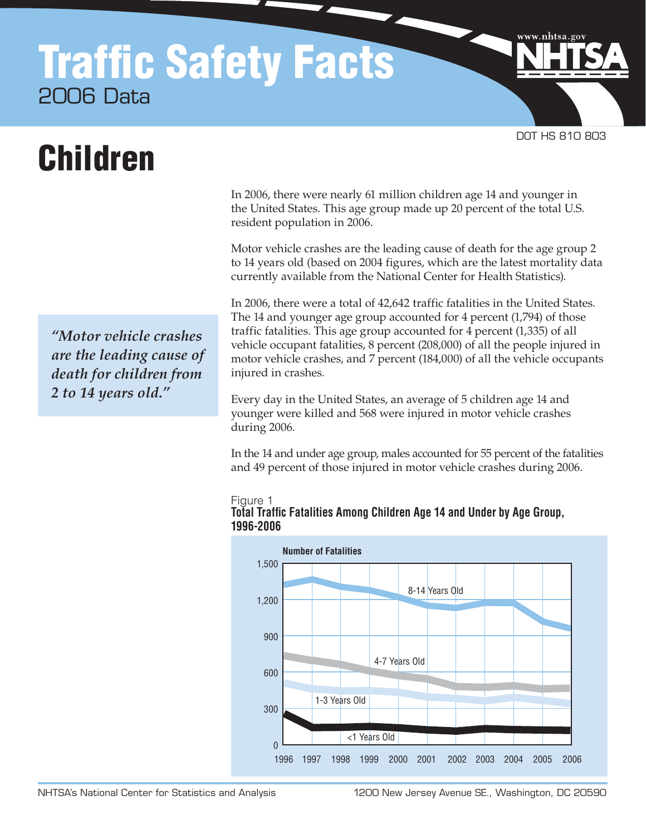## Traffic Safety Facts 2006 Data

# Children

*"Motor vehicle crashes are the leading cause of death for children from 2 to 14 years old."* 

In 2006, there were nearly 61 million children age 14 and younger in the United States. This age group made up 20 percent of the total U.S. resident population in 2006.

DOT HS 810 803

www.nhtsa.go

Motor vehicle crashes are the leading cause of death for the age group 2 to 14 years old (based on 2004 figures, which are the latest mortality data currently available from the National Center for Health Statistics).

In 2006, there were a total of 42,642 traffic fatalities in the United States. The 14 and younger age group accounted for 4 percent (1,794) of those traffic fatalities. This age group accounted for 4 percent (1,335) of all vehicle occupant fatalities, 8 percent (208,000) of all the people injured in motor vehicle crashes, and 7 percent (184,000) of all the vehicle occupants injured in crashes.

Every day in the United States, an average of 5 children age 14 and younger were killed and 568 were injured in motor vehicle crashes during 2006.

In the 14 and under age group, males accounted for 55 percent of the fatalities and 49 percent of those injured in motor vehicle crashes during 2006.



#### Figure 1 **Total Traffic Fatalities Among Children Age 14 and Under by Age Group, 1996‑2006**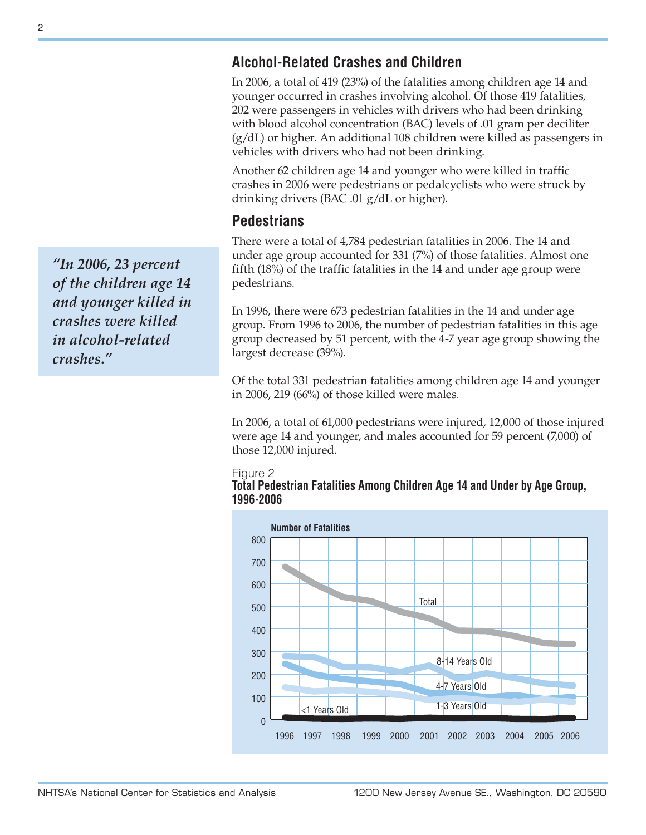## **Alcohol‑Related Crashes and Children**

In 2006, a total of 419 (23%) of the fatalities among children age 14 and younger occurred in crashes involving alcohol. Of those 419 fatalities, 202 were passengers in vehicles with drivers who had been drinking with blood alcohol concentration (BAC) levels of .01 gram per deciliter (g/dL) or higher. An additional 108 children were killed as passengers in vehicles with drivers who had not been drinking.

Another 62 children age 14 and younger who were killed in traffic crashes in 2006 were pedestrians or pedalcyclists who were struck by drinking drivers (BAC .01 g/dL or higher).

## **Pedestrians**

There were a total of 4,784 pedestrian fatalities in 2006. The 14 and under age group accounted for 331 (7%) of those fatalities. Almost one fifth (18%) of the traffic fatalities in the 14 and under age group were pedestrians.

In 1996, there were 673 pedestrian fatalities in the 14 and under age group. From 1996 to 2006, the number of pedestrian fatalities in this age group decreased by 51 percent, with the 4-7 year age group showing the largest decrease (39%).

Of the total 331 pedestrian fatalities among children age 14 and younger in 2006, 219 (66%) of those killed were males.

In 2006, a total of 61,000 pedestrians were injured, 12,000 of those injured were age 14 and younger, and males accounted for 59 percent (7,000) of those 12,000 injured.

#### Figure 2





*"In 2006, 23 percent of the children age 14 and younger killed in crashes were killed in alcohol-related crashes."*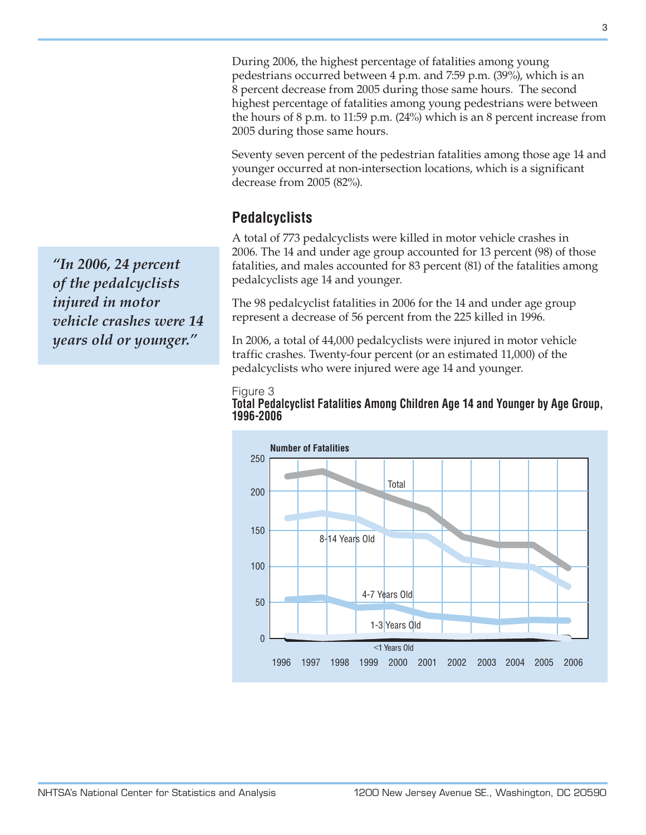During 2006, the highest percentage of fatalities among young pedestrians occurred between 4 p.m. and 7:59 p.m. (39%), which is an 8 percent decrease from 2005 during those same hours. The second highest percentage of fatalities among young pedestrians were between the hours of 8 p.m. to 11:59 p.m. (24%) which is an 8 percent increase from 2005 during those same hours.

Seventy seven percent of the pedestrian fatalities among those age 14 and younger occurred at non-intersection locations, which is a significant decrease from 2005 (82%).

## **Pedalcyclists**

A total of 773 pedalcyclists were killed in motor vehicle crashes in 2006. The 14 and under age group accounted for 13 percent (98) of those fatalities, and males accounted for 83 percent (81) of the fatalities among pedalcyclists age 14 and younger.

The 98 pedalcyclist fatalities in 2006 for the 14 and under age group represent a decrease of 56 percent from the 225 killed in 1996.

In 2006, a total of 44,000 pedalcyclists were injured in motor vehicle traffic crashes. Twenty-four percent (or an estimated 11,000) of the pedalcyclists who were injured were age 14 and younger.





*"In 2006, 24 percent of the pedalcyclists injured in motor vehicle crashes were 14 years old or younger."*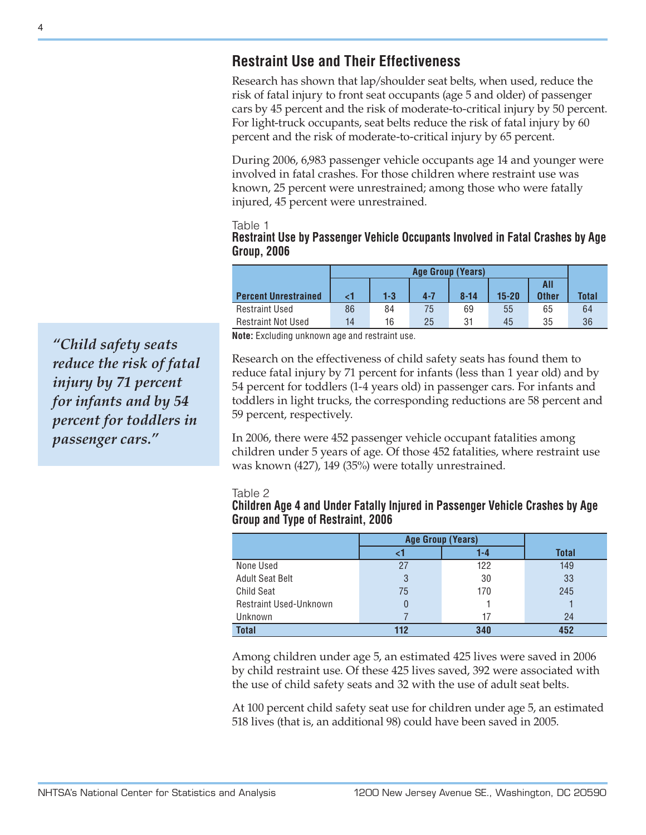## **Restraint Use and Their Effectiveness**

Research has shown that lap/shoulder seat belts, when used, reduce the risk of fatal injury to front seat occupants (age 5 and older) of passenger cars by 45 percent and the risk of moderate-to-critical injury by 50 percent. For light-truck occupants, seat belts reduce the risk of fatal injury by 60 percent and the risk of moderate-to-critical injury by 65 percent.

During 2006, 6,983 passenger vehicle occupants age 14 and younger were involved in fatal crashes. For those children where restraint use was known, 25 percent were unrestrained; among those who were fatally injured, 45 percent were unrestrained.

Table 1

**Restraint Use by Passenger Vehicle Occupants Involved in Fatal Crashes by Age Group, 2006**

|                             | Age Group (Years) |         |         |          |           |              |              |
|-----------------------------|-------------------|---------|---------|----------|-----------|--------------|--------------|
|                             |                   |         |         |          |           | All          |              |
| <b>Percent Unrestrained</b> |                   | $1 - 3$ | $4 - 7$ | $8 - 14$ | $15 - 20$ | <b>Other</b> | <b>Total</b> |
| <b>Restraint Used</b>       | 86                | 84      | 75      | 69       | 55        | 65           | 64           |
| <b>Restraint Not Used</b>   | 14                | 16      | 25      | 31       | 45        | 35           | 36           |

**Note:** Excluding unknown age and restraint use.

Research on the effectiveness of child safety seats has found them to reduce fatal injury by 71 percent for infants (less than 1 year old) and by 54 percent for toddlers (1-4 years old) in passenger cars. For infants and toddlers in light trucks, the corresponding reductions are 58 percent and 59 percent, respectively.

In 2006, there were 452 passenger vehicle occupant fatalities among children under 5 years of age. Of those 452 fatalities, where restraint use was known (427), 149 (35%) were totally unrestrained.

#### Table 2

#### **Children Age 4 and Under Fatally Injured in Passenger Vehicle Crashes by Age Group and Type of Restraint, 2006**

|                        | <b>Age Group (Years)</b> |     |       |
|------------------------|--------------------------|-----|-------|
|                        |                          | 1-4 | Total |
| None Used              | 27                       | 122 | 149   |
| <b>Adult Seat Belt</b> | 3                        | 30  | 33    |
| <b>Child Seat</b>      | 75                       | 170 | 245   |
| Restraint Used-Unknown | 0                        |     |       |
| Unknown                |                          | 17  | 24    |
| <b>Total</b>           | 112                      | 340 | 452   |

Among children under age 5, an estimated 425 lives were saved in 2006 by child restraint use. Of these 425 lives saved, 392 were associated with the use of child safety seats and 32 with the use of adult seat belts.

At 100 percent child safety seat use for children under age 5, an estimated 518 lives (that is, an additional 98) could have been saved in 2005.

*"Child safety seats reduce the risk of fatal injury by 71 percent for infants and by 54 percent for toddlers in passenger cars."*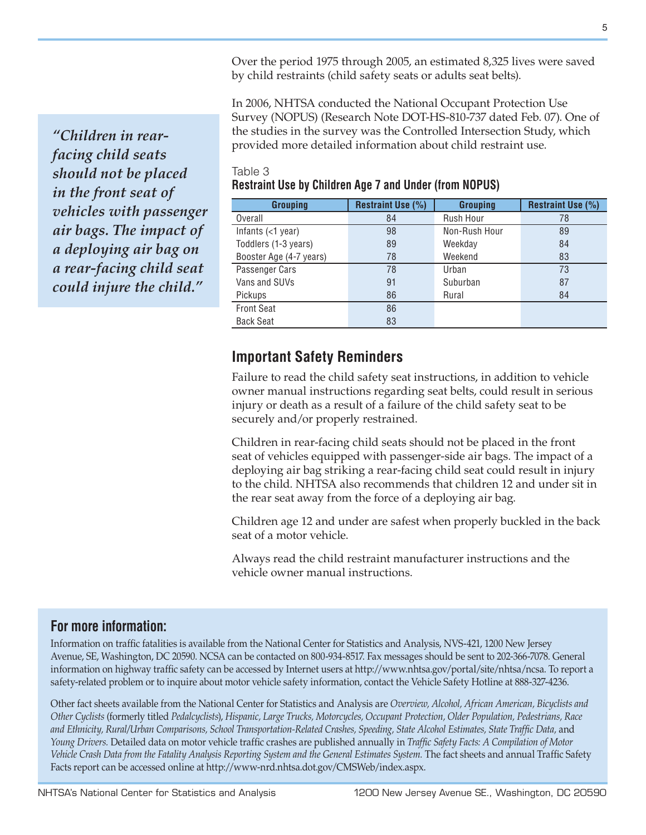Over the period 1975 through 2005, an estimated 8,325 lives were saved by child restraints (child safety seats or adults seat belts).

In 2006, NHTSA conducted the National Occupant Protection Use Survey (NOPUS) (Research Note DOT-HS-810-737 dated Feb. 07). One of the studies in the survey was the Controlled Intersection Study, which provided more detailed information about child restraint use.

*"Children in rearfacing child seats should not be placed in the front seat of vehicles with passenger air bags. The impact of a deploying air bag on a rear-facing child seat could injure the child."* 

#### Table 3 **Restraint Use by Children Age 7 and Under (from NOPUS)**

| <b>Grouping</b>         | <b>Restraint Use (%)</b> | <b>Grouping</b>  | <b>Restraint Use (%)</b> |  |
|-------------------------|--------------------------|------------------|--------------------------|--|
| Overall                 | 84                       | <b>Rush Hour</b> | 78                       |  |
| Infants $(<1$ year)     | 98                       | Non-Rush Hour    | 89                       |  |
| Toddlers (1-3 years)    | 89                       | Weekday          | 84                       |  |
| Booster Age (4-7 years) | 78                       | Weekend          | 83                       |  |
| Passenger Cars          | 78                       | Urban            | 73                       |  |
| Vans and SUVs           | 91                       | Suburban         | 87                       |  |
| <b>Pickups</b>          | 86                       | Rural            | 84                       |  |
| <b>Front Seat</b>       | 86                       |                  |                          |  |
| <b>Back Seat</b>        | 83                       |                  |                          |  |

### **Important Safety Reminders**

Failure to read the child safety seat instructions, in addition to vehicle owner manual instructions regarding seat belts, could result in serious injury or death as a result of a failure of the child safety seat to be securely and/or properly restrained.

Children in rear-facing child seats should not be placed in the front seat of vehicles equipped with passenger-side air bags. The impact of a deploying air bag striking a rear-facing child seat could result in injury to the child. NHTSA also recommends that children 12 and under sit in the rear seat away from the force of a deploying air bag.

Children age 12 and under are safest when properly buckled in the back seat of a motor vehicle.

Always read the child restraint manufacturer instructions and the vehicle owner manual instructions.

#### **For more information:**

Information on traffic fatalities is available from the National Center for Statistics and Analysis, NVS-421, 1200 New Jersey Avenue, SE, Washington, DC 20590. NCSA can be contacted on 800-934-8517. Fax messages should be sent to 202-366-7078. General information on highway traffic safety can be accessed by Internet users at [http://www.nhtsa.gov/portal/site/nhtsa/ncsa.](http://www.nhtsa.gov/portal/site/nhtsa/ncsa) To report a safety-related problem or to inquire about motor vehicle safety information, contact the Vehicle Safety Hotline at 888-327-4236.

Other fact sheets available from the National Center for Statistics and Analysis are *Overview, Alcohol, African American, Bicyclists and Other Cyclists* (formerly titled *Pedalcyclists*), *Hispanic, Large Trucks, Motorcycles, Occupant Protection, Older Population, Pedestrians, Race*  and Ethnicity, Rural/Urban Comparisons, School Transportation-Related Crashes, Speeding, State Alcohol Estimates, State Traffic Data, and *Young Drivers.* Detailed data on motor vehicle traffic crashes are published annually in *Traffic Safety Facts: A Compilation of Motor Vehicle Crash Data from the Fatality Analysis Reporting System and the General Estimates System.* The fact sheets and annual Traffic Safety Facts report can be accessed online at [http://www-nrd.nhtsa.dot.gov/CMSWeb/index.aspx.](http://www-nrd.nhtsa.dot.gov/CMSWeb/index.aspx)